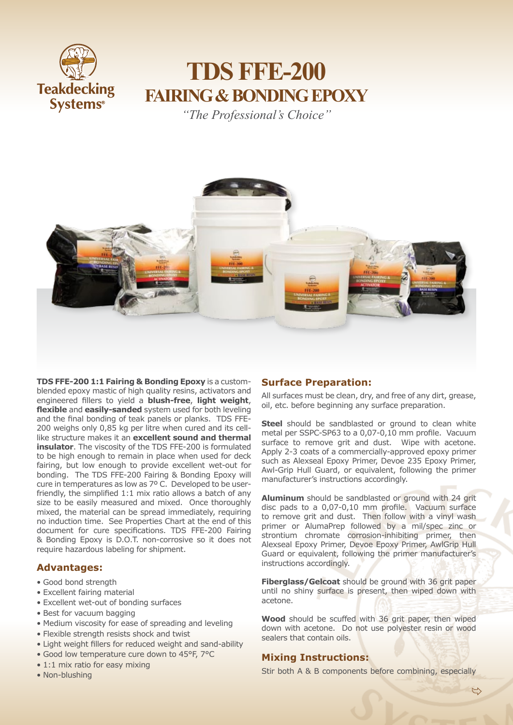

# **TDS FFE-200 FAIRING & BONDING EPOXY**

*"The Professional's Choice"*



**TDS FFE-200 1:1 Fairing & Bonding Epoxy** is a customblended epoxy mastic of high quality resins, activators and engineered fillers to yield a **blush-free**, **light weight**, **flexible** and **easily-sanded** system used for both leveling and the final bonding of teak panels or planks. TDS FFE-200 weighs only 0,85 kg per litre when cured and its celllike structure makes it an **excellent sound and thermal insulator**. The viscosity of the TDS FFE-200 is formulated to be high enough to remain in place when used for deck fairing, but low enough to provide excellent wet-out for bonding. The TDS FFE-200 Fairing & Bonding Epoxy will cure in temperatures as low as 7º C. Developed to be userfriendly, the simplified 1:1 mix ratio allows a batch of any size to be easily measured and mixed. Once thoroughly mixed, the material can be spread immediately, requiring no induction time. See Properties Chart at the end of this document for cure specifications. TDS FFE-200 Fairing & Bonding Epoxy is D.O.T. non-corrosive so it does not require hazardous labeling for shipment.

# **Advantages:**

- Good bond strength
- Excellent fairing material
- Excellent wet-out of bonding surfaces
- Best for vacuum bagging
- Medium viscosity for ease of spreading and leveling
- Flexible strength resists shock and twist
- Light weight fillers for reduced weight and sand-ability
- Good low temperature cure down to 45°F, 7°C
- 1:1 mix ratio for easy mixing
- Non-blushing

# **Surface Preparation:**

All surfaces must be clean, dry, and free of any dirt, grease, oil, etc. before beginning any surface preparation.

**Steel** should be sandblasted or ground to clean white metal per SSPC-SP63 to a 0,07-0,10 mm profile. Vacuum surface to remove grit and dust. Wipe with acetone. Apply 2-3 coats of a commercially-approved epoxy primer such as Alexseal Epoxy Primer, Devoe 235 Epoxy Primer, Awl-Grip Hull Guard, or equivalent, following the primer manufacturer's instructions accordingly.

**Aluminum** should be sandblasted or ground with 24 grit disc pads to a 0,07-0,10 mm profile. Vacuum surface to remove grit and dust. Then follow with a vinyl wash primer or AlumaPrep followed by a mil/spec zinc or strontium chromate corrosion-inhibiting primer, then Alexseal Epoxy Primer, Devoe Epoxy Primer, AwlGrip Hull Guard or equivalent, following the primer manufacturer's instructions accordingly.

**Fiberglass/Gelcoat** should be ground with 36 grit paper until no shiny surface is present, then wiped down with acetone.

**Wood** should be scuffed with 36 grit paper, then wiped down with acetone. Do not use polyester resin or wood sealers that contain oils.

# **Mixing Instructions:**

Stir both A & B components before combining, especially